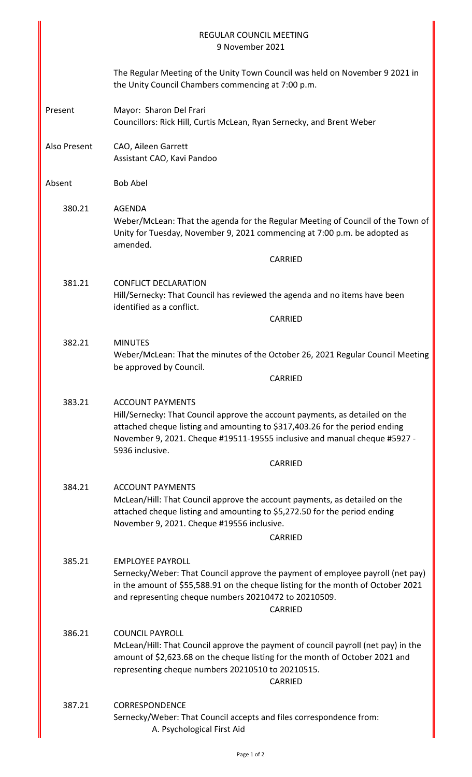| <b>REGULAR COUNCIL MEETING</b><br>9 November 2021 |                                                                                                                                                                                                                                                                                        |  |  |
|---------------------------------------------------|----------------------------------------------------------------------------------------------------------------------------------------------------------------------------------------------------------------------------------------------------------------------------------------|--|--|
|                                                   | The Regular Meeting of the Unity Town Council was held on November 9 2021 in<br>the Unity Council Chambers commencing at 7:00 p.m.                                                                                                                                                     |  |  |
| Present                                           | Mayor: Sharon Del Frari<br>Councillors: Rick Hill, Curtis McLean, Ryan Sernecky, and Brent Weber                                                                                                                                                                                       |  |  |
| Also Present                                      | CAO, Aileen Garrett<br>Assistant CAO, Kavi Pandoo                                                                                                                                                                                                                                      |  |  |
| Absent                                            | <b>Bob Abel</b>                                                                                                                                                                                                                                                                        |  |  |
| 380.21                                            | <b>AGENDA</b><br>Weber/McLean: That the agenda for the Regular Meeting of Council of the Town of<br>Unity for Tuesday, November 9, 2021 commencing at 7:00 p.m. be adopted as<br>amended.                                                                                              |  |  |
|                                                   | <b>CARRIED</b>                                                                                                                                                                                                                                                                         |  |  |
| 381.21                                            | <b>CONFLICT DECLARATION</b><br>Hill/Sernecky: That Council has reviewed the agenda and no items have been<br>identified as a conflict.                                                                                                                                                 |  |  |
|                                                   | <b>CARRIED</b>                                                                                                                                                                                                                                                                         |  |  |
| 382.21                                            | <b>MINUTES</b><br>Weber/McLean: That the minutes of the October 26, 2021 Regular Council Meeting<br>be approved by Council.                                                                                                                                                            |  |  |
|                                                   | CARRIED                                                                                                                                                                                                                                                                                |  |  |
| 383.21                                            | <b>ACCOUNT PAYMENTS</b><br>Hill/Sernecky: That Council approve the account payments, as detailed on the<br>attached cheque listing and amounting to \$317,403.26 for the period ending<br>November 9, 2021. Cheque #19511-19555 inclusive and manual cheque #5927 -<br>5936 inclusive. |  |  |
|                                                   | CARRIED                                                                                                                                                                                                                                                                                |  |  |
| 384.21                                            | <b>ACCOUNT PAYMENTS</b><br>McLean/Hill: That Council approve the account payments, as detailed on the<br>attached cheque listing and amounting to \$5,272.50 for the period ending<br>November 9, 2021. Cheque #19556 inclusive.<br>CARRIED                                            |  |  |
| 385.21                                            | <b>EMPLOYEE PAYROLL</b><br>Sernecky/Weber: That Council approve the payment of employee payroll (net pay)<br>in the amount of \$55,588.91 on the cheque listing for the month of October 2021<br>and representing cheque numbers 20210472 to 20210509.<br>CARRIED                      |  |  |
| 386.21                                            | <b>COUNCIL PAYROLL</b><br>McLean/Hill: That Council approve the payment of council payroll (net pay) in the<br>amount of \$2,623.68 on the cheque listing for the month of October 2021 and<br>representing cheque numbers 20210510 to 20210515.<br>CARRIED                            |  |  |
| 387.21                                            | <b>CORRESPONDENCE</b><br>Sernecky/Weber: That Council accepts and files correspondence from:<br>A. Psychological First Aid                                                                                                                                                             |  |  |